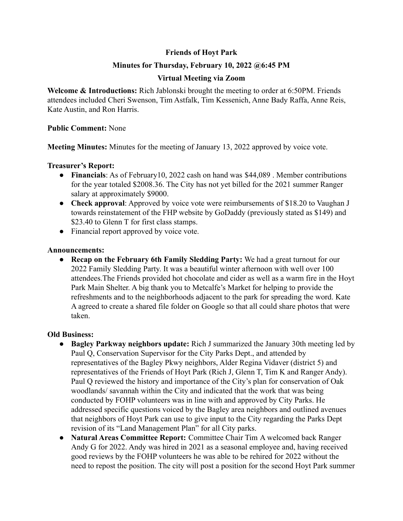# **Friends of Hoyt Park**

# **Minutes for Thursday, February 10, 2022 @6:45 PM**

## **Virtual Meeting via Zoom**

**Welcome & Introductions:** Rich Jablonski brought the meeting to order at 6:50PM. Friends attendees included Cheri Swenson, Tim Astfalk, Tim Kessenich, Anne Bady Raffa, Anne Reis, Kate Austin, and Ron Harris.

#### **Public Comment:** None

**Meeting Minutes:** Minutes for the meeting of January 13, 2022 approved by voice vote.

## **Treasurer's Report:**

- **Financials**: As of February10, 2022 cash on hand was \$44,089 . Member contributions for the year totaled \$2008.36. The City has not yet billed for the 2021 summer Ranger salary at approximately \$9000.
- **Check approval**: Approved by voice vote were reimbursements of \$18.20 to Vaughan J towards reinstatement of the FHP website by GoDaddy (previously stated as \$149) and \$23.40 to Glenn T for first class stamps.
- Financial report approved by voice vote.

#### **Announcements:**

**● Recap on the February 6th Family Sledding Party:** We had a great turnout for our 2022 Family Sledding Party. It was a beautiful winter afternoon with well over 100 attendees.The Friends provided hot chocolate and cider as well as a warm fire in the Hoyt Park Main Shelter. A big thank you to Metcalfe's Market for helping to provide the refreshments and to the neighborhoods adjacent to the park for spreading the word. Kate A agreed to create a shared file folder on Google so that all could share photos that were taken.

## **Old Business:**

- **● Bagley Parkway neighbors update:** Rich J summarized the January 30th meeting led by Paul Q, Conservation Supervisor for the City Parks Dept., and attended by representatives of the Bagley Pkwy neighbors, Alder Regina Vidaver (district 5) and representatives of the Friends of Hoyt Park (Rich J, Glenn T, Tim K and Ranger Andy). Paul Q reviewed the history and importance of the City's plan for conservation of Oak woodlands/ savannah within the City and indicated that the work that was being conducted by FOHP volunteers was in line with and approved by City Parks. He addressed specific questions voiced by the Bagley area neighbors and outlined avenues that neighbors of Hoyt Park can use to give input to the City regarding the Parks Dept revision of its "Land Management Plan" for all City parks.
- **● Natural Areas Committee Report:** Committee Chair Tim A welcomed back Ranger Andy G for 2022. Andy was hired in 2021 as a seasonal employee and, having received good reviews by the FOHP volunteers he was able to be rehired for 2022 without the need to repost the position. The city will post a position for the second Hoyt Park summer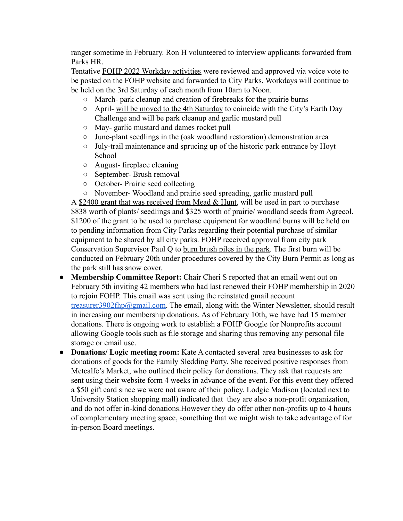ranger sometime in February. Ron H volunteered to interview applicants forwarded from Parks HR.

Tentative FOHP 2022 Workday activities were reviewed and approved via voice vote to be posted on the FOHP website and forwarded to City Parks. Workdays will continue to be held on the 3rd Saturday of each month from 10am to Noon.

- **○** March- park cleanup and creation of firebreaks for the prairie burns
- **○** April- will be moved to the 4th Saturday to coincide with the City's Earth Day Challenge and will be park cleanup and garlic mustard pull
- **○** May- garlic mustard and dames rocket pull
- **○** June-plant seedlings in the (oak woodland restoration) demonstration area
- **○** July-trail maintenance and sprucing up of the historic park entrance by Hoyt School
- **○** August- fireplace cleaning
- **○** September- Brush removal
- **○** October- Prairie seed collecting
- **○** November- Woodland and prairie seed spreading, garlic mustard pull

A  $$2400$  grant that was received from Mead & Hunt, will be used in part to purchase \$838 worth of plants/ seedlings and \$325 worth of prairie/ woodland seeds from Agrecol. \$1200 of the grant to be used to purchase equipment for woodland burns will be held on to pending information from City Parks regarding their potential purchase of similar equipment to be shared by all city parks. FOHP received approval from city park Conservation Supervisor Paul Q to burn brush piles in the park. The first burn will be conducted on February 20th under procedures covered by the City Burn Permit as long as the park still has snow cover.

- **Membership Committee Report:** Chair Cheri S reported that an email went out on February 5th inviting 42 members who had last renewed their FOHP membership in 2020 to rejoin FOHP. This email was sent using the reinstated gmail account [treasurer3902fhp@gmail.com](mailto:treasurer3902fhp@gamil.com). The email, along with the Winter Newsletter, should result in increasing our membership donations. As of February 10th, we have had 15 member donations. There is ongoing work to establish a FOHP Google for Nonprofits account allowing Google tools such as file storage and sharing thus removing any personal file storage or email use.
- **Donations/ Logic meeting room:** Kate A contacted several area businesses to ask for donations of goods for the Family Sledding Party. She received positive responses from Metcalfe's Market, who outlined their policy for donations. They ask that requests are sent using their website form 4 weeks in advance of the event. For this event they offered a \$50 gift card since we were not aware of their policy. Lodgic Madison (located next to University Station shopping mall) indicated that they are also a non-profit organization, and do not offer in-kind donations.However they do offer other non-profits up to 4 hours of complementary meeting space, something that we might wish to take advantage of for in-person Board meetings.